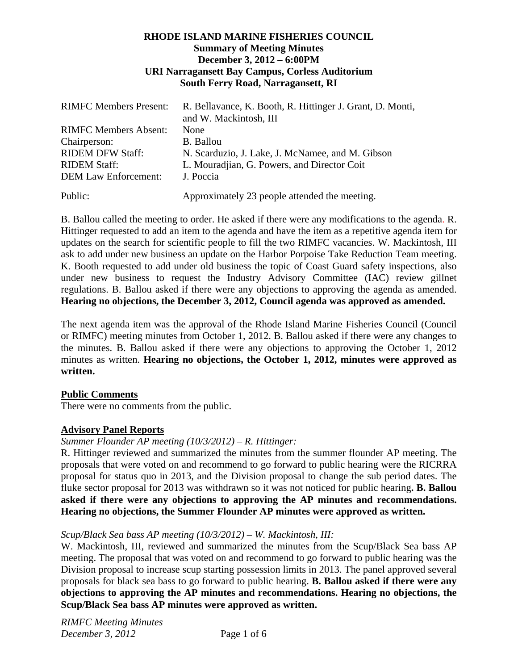## **RHODE ISLAND MARINE FISHERIES COUNCIL Summary of Meeting Minutes December 3, 2012 – 6:00PM URI Narragansett Bay Campus, Corless Auditorium South Ferry Road, Narragansett, RI**

| <b>RIMFC Members Present:</b> | R. Bellavance, K. Booth, R. Hittinger J. Grant, D. Monti,<br>and W. Mackintosh, III |
|-------------------------------|-------------------------------------------------------------------------------------|
| <b>RIMFC Members Absent:</b>  | None                                                                                |
| Chairperson:                  | B. Ballou                                                                           |
| <b>RIDEM DFW Staff:</b>       | N. Scarduzio, J. Lake, J. McNamee, and M. Gibson                                    |
| <b>RIDEM Staff:</b>           | L. Mouradjian, G. Powers, and Director Coit                                         |
| <b>DEM Law Enforcement:</b>   | J. Poccia                                                                           |
| Public:                       | Approximately 23 people attended the meeting.                                       |

B. Ballou called the meeting to order. He asked if there were any modifications to the agenda. R. Hittinger requested to add an item to the agenda and have the item as a repetitive agenda item for updates on the search for scientific people to fill the two RIMFC vacancies. W. Mackintosh, III ask to add under new business an update on the Harbor Porpoise Take Reduction Team meeting. K. Booth requested to add under old business the topic of Coast Guard safety inspections, also under new business to request the Industry Advisory Committee (IAC) review gillnet regulations. B. Ballou asked if there were any objections to approving the agenda as amended. **Hearing no objections, the December 3, 2012, Council agenda was approved as amended.**

The next agenda item was the approval of the Rhode Island Marine Fisheries Council (Council or RIMFC) meeting minutes from October 1, 2012. B. Ballou asked if there were any changes to the minutes. B. Ballou asked if there were any objections to approving the October 1, 2012 minutes as written. **Hearing no objections, the October 1, 2012, minutes were approved as written.** 

# **Public Comments**

There were no comments from the public.

# **Advisory Panel Reports**

# *Summer Flounder AP meeting (10/3/2012) – R. Hittinger:*

R. Hittinger reviewed and summarized the minutes from the summer flounder AP meeting. The proposals that were voted on and recommend to go forward to public hearing were the RICRRA proposal for status quo in 2013, and the Division proposal to change the sub period dates. The fluke sector proposal for 2013 was withdrawn so it was not noticed for public hearing**. B. Ballou asked if there were any objections to approving the AP minutes and recommendations. Hearing no objections, the Summer Flounder AP minutes were approved as written.** 

## *Scup/Black Sea bass AP meeting (10/3/2012) – W. Mackintosh, III:*

W. Mackintosh, III, reviewed and summarized the minutes from the Scup/Black Sea bass AP meeting. The proposal that was voted on and recommend to go forward to public hearing was the Division proposal to increase scup starting possession limits in 2013. The panel approved several proposals for black sea bass to go forward to public hearing. **B. Ballou asked if there were any objections to approving the AP minutes and recommendations. Hearing no objections, the Scup/Black Sea bass AP minutes were approved as written.**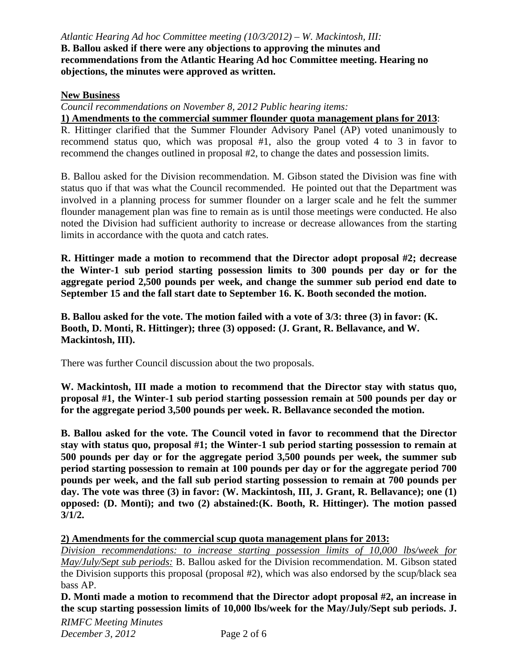*Atlantic Hearing Ad hoc Committee meeting (10/3/2012) – W. Mackintosh, III:* **B. Ballou asked if there were any objections to approving the minutes and recommendations from the Atlantic Hearing Ad hoc Committee meeting. Hearing no objections, the minutes were approved as written.**

## **New Business**

*Council recommendations on November 8, 2012 Public hearing items:* 

**1) Amendments to the commercial summer flounder quota management plans for 2013**:

R. Hittinger clarified that the Summer Flounder Advisory Panel (AP) voted unanimously to recommend status quo, which was proposal #1, also the group voted 4 to 3 in favor to recommend the changes outlined in proposal #2, to change the dates and possession limits.

B. Ballou asked for the Division recommendation. M. Gibson stated the Division was fine with status quo if that was what the Council recommended. He pointed out that the Department was involved in a planning process for summer flounder on a larger scale and he felt the summer flounder management plan was fine to remain as is until those meetings were conducted. He also noted the Division had sufficient authority to increase or decrease allowances from the starting limits in accordance with the quota and catch rates.

**R. Hittinger made a motion to recommend that the Director adopt proposal #2; decrease the Winter-1 sub period starting possession limits to 300 pounds per day or for the aggregate period 2,500 pounds per week, and change the summer sub period end date to September 15 and the fall start date to September 16. K. Booth seconded the motion.** 

**B. Ballou asked for the vote. The motion failed with a vote of 3/3: three (3) in favor: (K. Booth, D. Monti, R. Hittinger); three (3) opposed: (J. Grant, R. Bellavance, and W. Mackintosh, III).** 

There was further Council discussion about the two proposals.

**W. Mackintosh, III made a motion to recommend that the Director stay with status quo, proposal #1, the Winter-1 sub period starting possession remain at 500 pounds per day or for the aggregate period 3,500 pounds per week. R. Bellavance seconded the motion.**

**B. Ballou asked for the vote. The Council voted in favor to recommend that the Director stay with status quo, proposal #1; the Winter-1 sub period starting possession to remain at 500 pounds per day or for the aggregate period 3,500 pounds per week, the summer sub period starting possession to remain at 100 pounds per day or for the aggregate period 700 pounds per week, and the fall sub period starting possession to remain at 700 pounds per day. The vote was three (3) in favor: (W. Mackintosh, III, J. Grant, R. Bellavance); one (1) opposed: (D. Monti); and two (2) abstained:(K. Booth, R. Hittinger). The motion passed 3/1/2.** 

**2) Amendments for the commercial scup quota management plans for 2013:**

*Division recommendations: to increase starting possession limits of 10,000 lbs/week for May/July/Sept sub periods:* B. Ballou asked for the Division recommendation. M. Gibson stated the Division supports this proposal (proposal #2), which was also endorsed by the scup/black sea bass AP.

**D. Monti made a motion to recommend that the Director adopt proposal #2, an increase in the scup starting possession limits of 10,000 lbs/week for the May/July/Sept sub periods. J.**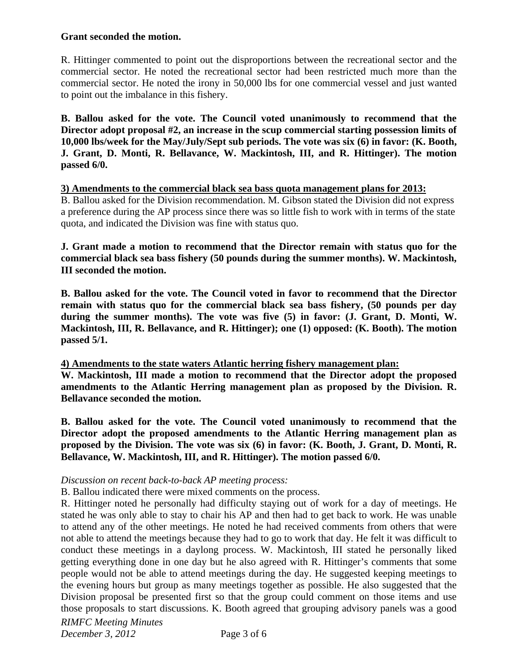## **Grant seconded the motion.**

R. Hittinger commented to point out the disproportions between the recreational sector and the commercial sector. He noted the recreational sector had been restricted much more than the commercial sector. He noted the irony in 50,000 lbs for one commercial vessel and just wanted to point out the imbalance in this fishery.

**B. Ballou asked for the vote. The Council voted unanimously to recommend that the Director adopt proposal #2, an increase in the scup commercial starting possession limits of 10,000 lbs/week for the May/July/Sept sub periods. The vote was six (6) in favor: (K. Booth, J. Grant, D. Monti, R. Bellavance, W. Mackintosh, III, and R. Hittinger). The motion passed 6/0.** 

#### **3) Amendments to the commercial black sea bass quota management plans for 2013:**

B. Ballou asked for the Division recommendation. M. Gibson stated the Division did not express a preference during the AP process since there was so little fish to work with in terms of the state quota, and indicated the Division was fine with status quo.

**J. Grant made a motion to recommend that the Director remain with status quo for the commercial black sea bass fishery (50 pounds during the summer months). W. Mackintosh, III seconded the motion.** 

**B. Ballou asked for the vote. The Council voted in favor to recommend that the Director remain with status quo for the commercial black sea bass fishery, (50 pounds per day during the summer months). The vote was five (5) in favor: (J. Grant, D. Monti, W. Mackintosh, III, R. Bellavance, and R. Hittinger); one (1) opposed: (K. Booth). The motion passed 5/1.** 

## **4) Amendments to the state waters Atlantic herring fishery management plan:**

**W. Mackintosh, III made a motion to recommend that the Director adopt the proposed amendments to the Atlantic Herring management plan as proposed by the Division. R. Bellavance seconded the motion.** 

**B. Ballou asked for the vote. The Council voted unanimously to recommend that the Director adopt the proposed amendments to the Atlantic Herring management plan as proposed by the Division. The vote was six (6) in favor: (K. Booth, J. Grant, D. Monti, R. Bellavance, W. Mackintosh, III, and R. Hittinger). The motion passed 6/0.** 

## *Discussion on recent back-to-back AP meeting process:*

B. Ballou indicated there were mixed comments on the process.

R. Hittinger noted he personally had difficulty staying out of work for a day of meetings. He stated he was only able to stay to chair his AP and then had to get back to work. He was unable to attend any of the other meetings. He noted he had received comments from others that were not able to attend the meetings because they had to go to work that day. He felt it was difficult to conduct these meetings in a daylong process. W. Mackintosh, III stated he personally liked getting everything done in one day but he also agreed with R. Hittinger's comments that some people would not be able to attend meetings during the day. He suggested keeping meetings to the evening hours but group as many meetings together as possible. He also suggested that the Division proposal be presented first so that the group could comment on those items and use those proposals to start discussions. K. Booth agreed that grouping advisory panels was a good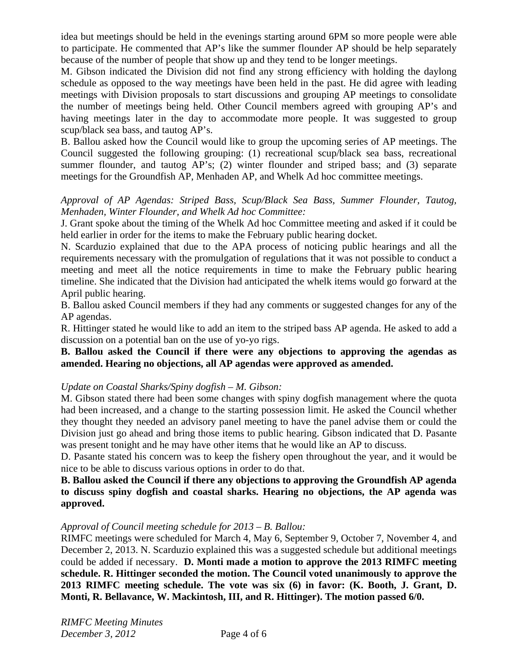idea but meetings should be held in the evenings starting around 6PM so more people were able to participate. He commented that AP's like the summer flounder AP should be help separately because of the number of people that show up and they tend to be longer meetings.

M. Gibson indicated the Division did not find any strong efficiency with holding the daylong schedule as opposed to the way meetings have been held in the past. He did agree with leading meetings with Division proposals to start discussions and grouping AP meetings to consolidate the number of meetings being held. Other Council members agreed with grouping AP's and having meetings later in the day to accommodate more people. It was suggested to group scup/black sea bass, and tautog AP's.

B. Ballou asked how the Council would like to group the upcoming series of AP meetings. The Council suggested the following grouping: (1) recreational scup/black sea bass, recreational summer flounder, and tautog AP's; (2) winter flounder and striped bass; and (3) separate meetings for the Groundfish AP, Menhaden AP, and Whelk Ad hoc committee meetings.

# *Approval of AP Agendas: Striped Bass, Scup/Black Sea Bass, Summer Flounder, Tautog, Menhaden, Winter Flounder, and Whelk Ad hoc Committee:*

J. Grant spoke about the timing of the Whelk Ad hoc Committee meeting and asked if it could be held earlier in order for the items to make the February public hearing docket.

N. Scarduzio explained that due to the APA process of noticing public hearings and all the requirements necessary with the promulgation of regulations that it was not possible to conduct a meeting and meet all the notice requirements in time to make the February public hearing timeline. She indicated that the Division had anticipated the whelk items would go forward at the April public hearing.

B. Ballou asked Council members if they had any comments or suggested changes for any of the AP agendas.

R. Hittinger stated he would like to add an item to the striped bass AP agenda. He asked to add a discussion on a potential ban on the use of yo-yo rigs.

## **B. Ballou asked the Council if there were any objections to approving the agendas as amended. Hearing no objections, all AP agendas were approved as amended.**

# *Update on Coastal Sharks/Spiny dogfish – M. Gibson:*

M. Gibson stated there had been some changes with spiny dogfish management where the quota had been increased, and a change to the starting possession limit. He asked the Council whether they thought they needed an advisory panel meeting to have the panel advise them or could the Division just go ahead and bring those items to public hearing. Gibson indicated that D. Pasante was present tonight and he may have other items that he would like an AP to discuss.

D. Pasante stated his concern was to keep the fishery open throughout the year, and it would be nice to be able to discuss various options in order to do that.

## **B. Ballou asked the Council if there any objections to approving the Groundfish AP agenda to discuss spiny dogfish and coastal sharks. Hearing no objections, the AP agenda was approved.**

## *Approval of Council meeting schedule for 2013 – B. Ballou:*

RIMFC meetings were scheduled for March 4, May 6, September 9, October 7, November 4, and December 2, 2013. N. Scarduzio explained this was a suggested schedule but additional meetings could be added if necessary. **D. Monti made a motion to approve the 2013 RIMFC meeting schedule. R. Hittinger seconded the motion. The Council voted unanimously to approve the 2013 RIMFC meeting schedule. The vote was six (6) in favor: (K. Booth, J. Grant, D. Monti, R. Bellavance, W. Mackintosh, III, and R. Hittinger). The motion passed 6/0.**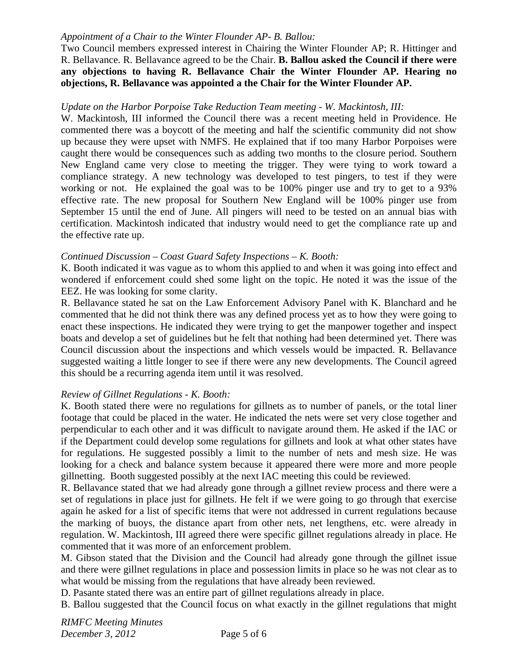## *Appointment of a Chair to the Winter Flounder AP- B. Ballou:*

Two Council members expressed interest in Chairing the Winter Flounder AP; R. Hittinger and R. Bellavance. R. Bellavance agreed to be the Chair. **B. Ballou asked the Council if there were any objections to having R. Bellavance Chair the Winter Flounder AP. Hearing no objections, R. Bellavance was appointed a the Chair for the Winter Flounder AP.** 

#### *Update on the Harbor Porpoise Take Reduction Team meeting - W. Mackintosh, III:*

W. Mackintosh, III informed the Council there was a recent meeting held in Providence. He commented there was a boycott of the meeting and half the scientific community did not show up because they were upset with NMFS. He explained that if too many Harbor Porpoises were caught there would be consequences such as adding two months to the closure period. Southern New England came very close to meeting the trigger. They were tying to work toward a compliance strategy. A new technology was developed to test pingers, to test if they were working or not. He explained the goal was to be 100% pinger use and try to get to a 93% effective rate. The new proposal for Southern New England will be 100% pinger use from September 15 until the end of June. All pingers will need to be tested on an annual bias with certification. Mackintosh indicated that industry would need to get the compliance rate up and the effective rate up.

#### *Continued Discussion – Coast Guard Safety Inspections – K. Booth:*

K. Booth indicated it was vague as to whom this applied to and when it was going into effect and wondered if enforcement could shed some light on the topic. He noted it was the issue of the EEZ. He was looking for some clarity.

R. Bellavance stated he sat on the Law Enforcement Advisory Panel with K. Blanchard and he commented that he did not think there was any defined process yet as to how they were going to enact these inspections. He indicated they were trying to get the manpower together and inspect boats and develop a set of guidelines but he felt that nothing had been determined yet. There was Council discussion about the inspections and which vessels would be impacted. R. Bellavance suggested waiting a little longer to see if there were any new developments. The Council agreed this should be a recurring agenda item until it was resolved.

## *Review of Gillnet Regulations - K. Booth:*

K. Booth stated there were no regulations for gillnets as to number of panels, or the total liner footage that could be placed in the water. He indicated the nets were set very close together and perpendicular to each other and it was difficult to navigate around them. He asked if the IAC or if the Department could develop some regulations for gillnets and look at what other states have for regulations. He suggested possibly a limit to the number of nets and mesh size. He was looking for a check and balance system because it appeared there were more and more people gillnetting. Booth suggested possibly at the next IAC meeting this could be reviewed.

R. Bellavance stated that we had already gone through a gillnet review process and there were a set of regulations in place just for gillnets. He felt if we were going to go through that exercise again he asked for a list of specific items that were not addressed in current regulations because the marking of buoys, the distance apart from other nets, net lengthens, etc. were already in regulation. W. Mackintosh, III agreed there were specific gillnet regulations already in place. He commented that it was more of an enforcement problem.

M. Gibson stated that the Division and the Council had already gone through the gillnet issue and there were gillnet regulations in place and possession limits in place so he was not clear as to what would be missing from the regulations that have already been reviewed.

D. Pasante stated there was an entire part of gillnet regulations already in place.

B. Ballou suggested that the Council focus on what exactly in the gillnet regulations that might